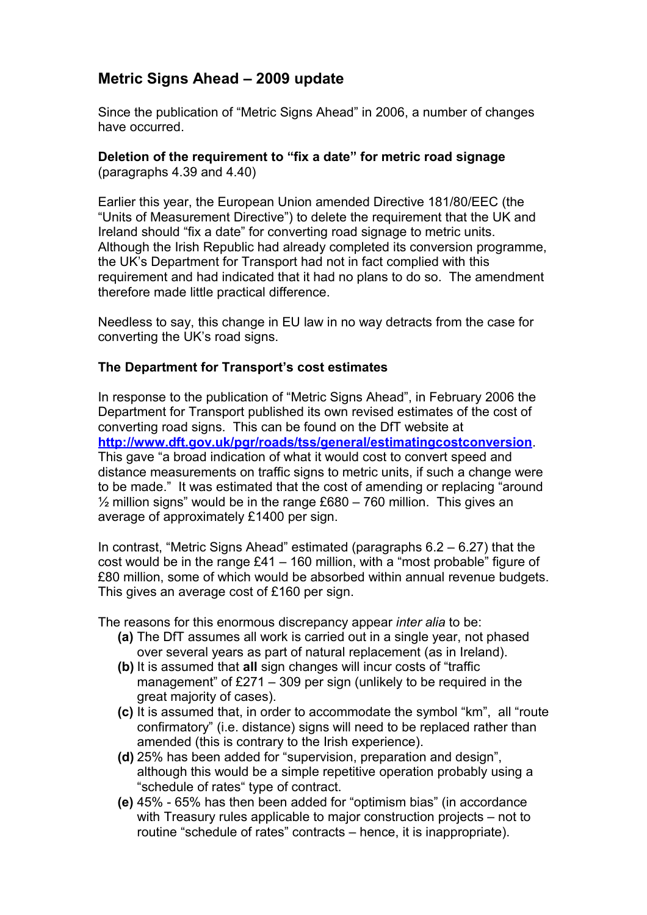## **Metric Signs Ahead – 2009 update**

Since the publication of "Metric Signs Ahead" in 2006, a number of changes have occurred.

### **Deletion of the requirement to "fix a date" for metric road signage** (paragraphs 4.39 and 4.40)

Earlier this year, the European Union amended Directive 181/80/EEC (the "Units of Measurement Directive") to delete the requirement that the UK and Ireland should "fix a date" for converting road signage to metric units. Although the Irish Republic had already completed its conversion programme, the UK's Department for Transport had not in fact complied with this requirement and had indicated that it had no plans to do so. The amendment therefore made little practical difference.

Needless to say, this change in EU law in no way detracts from the case for converting the UK's road signs.

## **The Department for Transport's cost estimates**

In response to the publication of "Metric Signs Ahead", in February 2006 the Department for Transport published its own revised estimates of the cost of converting road signs. This can be found on the DfT website at **<http://www.dft.gov.uk/pgr/roads/tss/general/estimatingcostconversion>**. This gave "a broad indication of what it would cost to convert speed and distance measurements on traffic signs to metric units, if such a change were to be made." It was estimated that the cost of amending or replacing "around  $\frac{1}{2}$  million signs" would be in the range £680 – 760 million. This gives an average of approximately £1400 per sign.

In contrast, "Metric Signs Ahead" estimated (paragraphs 6.2 – 6.27) that the cost would be in the range £41 – 160 million, with a "most probable" figure of £80 million, some of which would be absorbed within annual revenue budgets. This gives an average cost of £160 per sign.

The reasons for this enormous discrepancy appear *inter alia* to be:

- **(a)** The DfT assumes all work is carried out in a single year, not phased over several years as part of natural replacement (as in Ireland).
- **(b)** It is assumed that **all** sign changes will incur costs of "traffic management" of £271 – 309 per sign (unlikely to be required in the great majority of cases).
- **(c)** It is assumed that, in order to accommodate the symbol "km", all "route confirmatory" (i.e. distance) signs will need to be replaced rather than amended (this is contrary to the Irish experience).
- **(d)** 25% has been added for "supervision, preparation and design", although this would be a simple repetitive operation probably using a "schedule of rates" type of contract.
- **(e)** 45% 65% has then been added for "optimism bias" (in accordance with Treasury rules applicable to major construction projects – not to routine "schedule of rates" contracts – hence, it is inappropriate).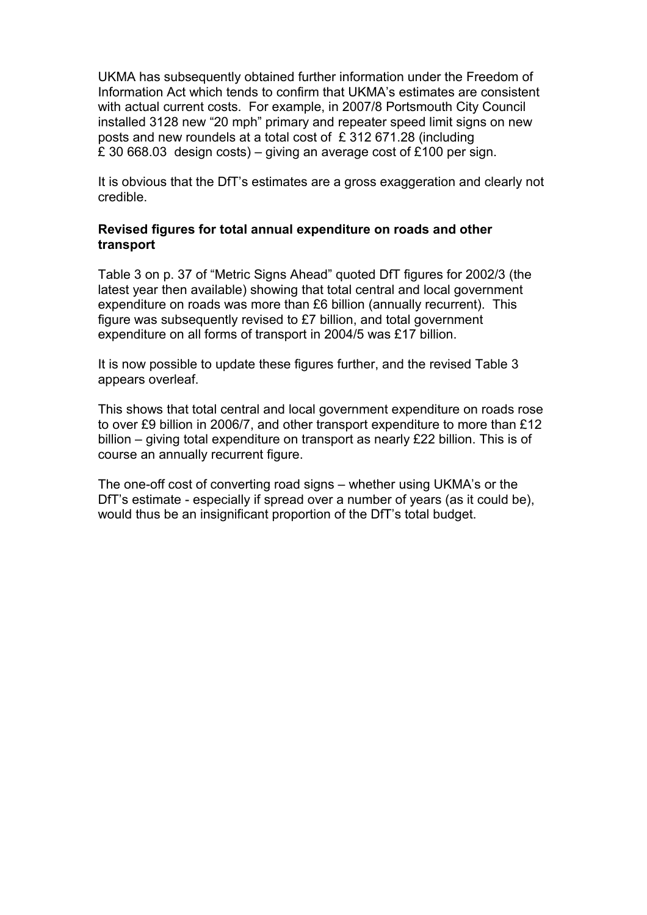UKMA has subsequently obtained further information under the Freedom of Information Act which tends to confirm that UKMA's estimates are consistent with actual current costs. For example, in 2007/8 Portsmouth City Council installed 3128 new "20 mph" primary and repeater speed limit signs on new posts and new roundels at a total cost of £ 312 671.28 (including £ 30 668.03 design costs) – giving an average cost of £100 per sign.

It is obvious that the DfT's estimates are a gross exaggeration and clearly not credible.

### **Revised figures for total annual expenditure on roads and other transport**

Table 3 on p. 37 of "Metric Signs Ahead" quoted DfT figures for 2002/3 (the latest year then available) showing that total central and local government expenditure on roads was more than £6 billion (annually recurrent). This figure was subsequently revised to £7 billion, and total government expenditure on all forms of transport in 2004/5 was £17 billion.

It is now possible to update these figures further, and the revised Table 3 appears overleaf.

This shows that total central and local government expenditure on roads rose to over £9 billion in 2006/7, and other transport expenditure to more than £12 billion – giving total expenditure on transport as nearly £22 billion. This is of course an annually recurrent figure.

The one-off cost of converting road signs – whether using UKMA's or the DfT's estimate - especially if spread over a number of years (as it could be), would thus be an insignificant proportion of the DfT's total budget.